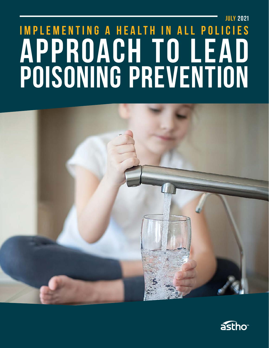# **JULY 2021 IMPLEMENTING A HEALTH IN ALL POLICIES APPROACH TO LEAD POISONING PREVENTION**



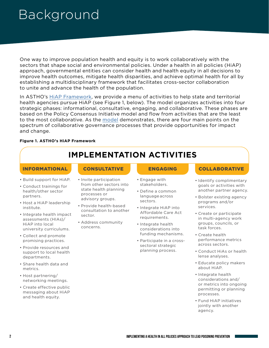### Background

One way to improve population health and equity is to work collaboratively with the sectors that shape social and environmental policies. Under a health in all policies (HiAP) approach, governmental entities can consider health and health equity in all decisions to improve health outcomes, mitigate health disparities, and achieve optimal health for all by establishing a multidisciplinary framework that facilitates cross-sector collaboration to unite and advance the health of the population.

In ASTHO's [HiAP Framework](https://www.astho.org/HiAP/Framework/), we provide a menu of activities to help state and territorial health agencies pursue HiAP (see Figure 1, below). The model organizes activities into four strategic phases: informational, consultative, engaging, and collaborative. These phases are based on the Policy Consensus Initiative model and flow from activities that are the least to the most collaborative. As the [model](https://www.pdx.edu/policy-consensus-center/publications) demonstrates, there are four main points on the spectrum of collaborative governance processes that provide opportunities for impact and change.

#### **Figure 1. ASTHO's HiAP Framework**

#### **IMPLEMENTATION ACTIVITIES**

- Build support for HiAP.
- Conduct trainings for health/other sector partners.
- Host a HiAP leadership institute.
- Integrate health impact assessments (HIAs)/ HiAP into local university curriculums.
- Collect and promote promising practices.
- Provide resources and support to local health departments.
- Share health data and metrics.
- Host partnering/ networking meetings.
- Create effective public messaging about HiAP and health equity.

- Invite participation from other sectors into state health planning processes or advisory groups.
- Provide health-based consultation to another sector.
- Address community concerns.

- Engage with stakeholders.
- Define a common language across sectors.
- Integrate HiAP into Affordable Care Act requirements.
- Integrate health considerations into funding mechanisms.
- Participate in a cross sectoral strategic planning process.
- INFORMATIONAL CONSULTATIVE ENGAGING COLLABORATIVE
	- Identify complimentary goals or activities with another partner agency.
	- Bolster existing agency programs and/or services.
	- Create or participate in multi-agency work groups, councils, or task forces.
	- Create health performance metrics across sectors.
	- Conduct HiAs or health lense analyses.
	- Educate policy makers about HiAP.
	- Integrate health considerations and/ or metrics into ongoing permitting or planning processes.
	- Fund HiAP initiatives jointly with another agency.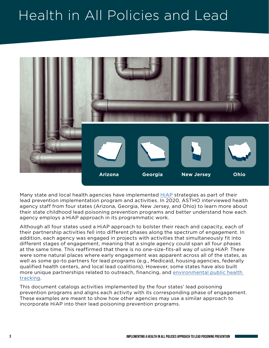## Health in All Policies and Lead



Many state and local health agencies have implemented [HiAP](https://www.astho.org/HiAP/Framework/) strategies as part of their lead prevention implementation program and activities. In 2020, ASTHO interviewed health agency staff from four states (Arizona, Georgia, New Jersey, and Ohio) to learn more about their state childhood lead poisoning prevention programs and better understand how each agency employs a HiAP approach in its programmatic work.

Although all four states used a HiAP approach to bolster their reach and capacity, each of their partnership activities fell into different phases along the spectrum of engagement. In addition, each agency was engaged in projects with activities that simultaneously fit into different stages of engagement, meaning that a single agency could span all four phases at the same time. This reaffirmed that there is no one-size-fits-all way of using HiAP. There were some natural places where early engagement was apparent across all of the states, as well as some go-to partners for lead programs (e.g., Medicaid, housing agencies, federally qualified health centers, and local lead coalitions). However, some states have also built more unique partnerships related to outreach, financing, and [environmental public health](https://www.cdc.gov/nceh/tracking/about.htm)  [tracking.](https://www.cdc.gov/nceh/tracking/about.htm)

This document catalogs activities implemented by the four states' lead poisoning prevention programs and aligns each activity with its corresponding phase of engagement. These examples are meant to show how other agencies may use a similar approach to incorporate HiAP into their lead poisoning prevention programs.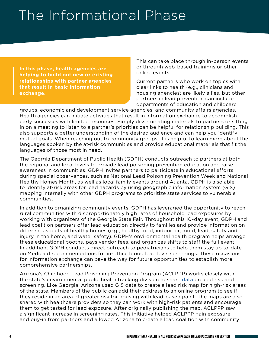## The Informational Phase

**In this phase, health agencies are helping to build out new or existing relationships with partner agencies that result in basic information exchange.**

This can take place through in-person events or through web-based trainings or other online events.

Current partners who work on topics with clear links to health (e.g., clinicians and housing agencies) are likely allies, but other partners in lead prevention can include departments of education and childcare

groups, economic and development service agencies, and community affairs agencies. Health agencies can initiate activities that result in information exchange to accomplish early successes with limited resources. Simply disseminating materials to partners or sitting in on a meeting to listen to a partner's priorities can be helpful for relationship building. This also supports a better understanding of the desired audience and can help you identify mutual goals. When reaching out to community groups, it is helpful to learn more about the languages spoken by the at-risk communities and provide educational materials that fit the languages of those most in need.

The Georgia Department of Public Health (GDPH) conducts outreach to partners at both the regional and local levels to provide lead poisoning prevention education and raise awareness in communities. GDPH invites partners to participate in educational efforts during special observances, such as National Lead Poisoning Prevention Week and National Healthy Homes Month, as well as local family events around Atlanta. GDPH is also able to identify at-risk areas for lead hazards by using geographic information system (GIS) mapping internally with other GDPH programs to prioritize state services to vulnerable communities.

In addition to organizing community events, GDPH has leveraged the opportunity to reach rural communities with disproportionately high rates of household lead exposures by working with organizers of the Georgia State Fair. Throughout this 10-day event, GDPH and lead coalition partners offer lead education directly to families and provide information on different aspects of healthy homes (e.g., healthy food, indoor air, mold, lead, safety and injury in the home, and water safety). GDPH's environmental health program helps arrange these educational booths, pays vendor fees, and organizes shifts to staff the full event. In addition, GDPH conducts direct outreach to pediatricians to help them stay up to-date on Medicaid recommendations for in-office blood lead level screenings. These occasions for information exchange can pave the way for future opportunities to establish more comprehensive partnerships.

Arizona's Childhood Lead Poisoning Prevention Program (ACLPPP) works closely with the state's environmental public health tracking division to share [data](https://www.azdhs.gov/preparedness/epidemiology-disease-control/environmental-health/environmental-public-health-tracking/index.php#health-effects-childhood-lead) on lead risk and screening. Like Georgia, Arizona used GIS data to create a lead risk map for high-risk areas of the state. Members of the public can add their address to an online program to see if they reside in an area of greater risk for housing with lead-based paint. The maps are also shared with healthcare providers so they can work with high-risk patients and encourage them to get tested for lead exposure. After originally publishing the map, ACLPPP saw a significant increase in screening rates. This initiative helped ACLPPP gain exposure and buy-in from partners and allowed Arizona to create a lead coalition with community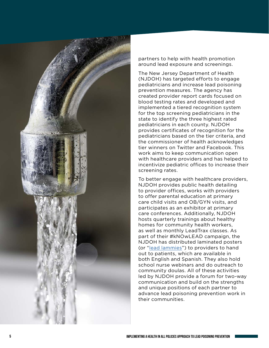

partners to help with health promotion around lead exposure and screenings.

The New Jersey Department of Health (NJDOH) has targeted efforts to engage pediatricians and increase lead poisoning prevention measures. The agency has created provider report cards focused on blood testing rates and developed and implemented a tiered recognition system for the top screening pediatricians in the state to identify the three highest rated pediatricians in each county. NJDOH provides certificates of recognition for the pediatricians based on the tier criteria, and the commissioner of health acknowledges tier winners on Twitter and Facebook. This work aims to keep communication open with healthcare providers and has helped to incentivize pediatric offices to increase their screening rates.

To better engage with healthcare providers, NJDOH provides public health detailing to provider offices, works with providers to offer parental education at primary care child visits and OB/GYN visits, and participates as an exhibitor at primary care conferences. Additionally, NJDOH hosts quarterly trainings about healthy homes for community health workers, as well as monthly LeadTrax classes. As part of their #kNOwLEAD campaign, the NJDOH has distributed laminated posters (or "[lead lammies](https://www.state.nj.us/health/childhoodlead/documents/Lead%20Poster%20RRS%20v4A%20pdf.pdf)") to providers to hand out to patients, which are available in both English and Spanish. They also hold school nurse webinars and do outreach to community doulas. All of these activities led by NJDOH provide a forum for two-way communication and build on the strengths and unique positions of each partner to advance lead poisoning prevention work in their communities.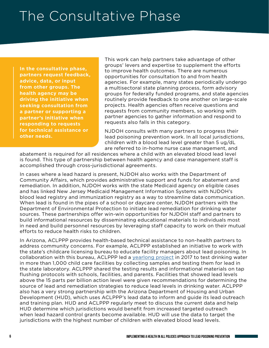### The Consultative Phase

**In the consultative phase, partners request feedback, advice, data, or input from other groups. The health agency may be driving the initiative when seeking consultation from a partner or supporting a partner's initiative when responding to requests for technical assistance or other needs.**

This work can help partners take advantage of other groups' levers and expertise to supplement the efforts to improve health outcomes. There are numerous opportunities for consultation to and from health agencies. For example, many states periodically undergo a multisectoral state planning process, form advisory groups for federally funded programs, and state agencies routinely provide feedback to one another on large-scale projects. Health agencies often receive questions and requests from community members, so working with partner agencies to gather information and respond to requests also falls in this category.

NJDOH consults with many partners to progress their lead poisoning prevention work. In all local jurisdictions, children with a blood lead level greater than 5 ug/dL are referred to in-home nurse case management, and

abatement is required for all residences where a child with an elevated blood lead level is found. This type of partnership between health agency and case management staff is accomplished through cross-jurisdictional agreements.

In cases where a lead hazard is present, NJDOH also works with the Department of Community Affairs, which provides administrative support and funds for abatement and remediation. In addition, NJDOH works with the state Medicaid agency on eligible cases and has linked New Jersey Medicaid Management Information Systems with NJDOH's blood lead registry and immunization registry as a way to streamline data communication. When lead is found in the pipes of a school or daycare center, NJDOH partners with the Department of Environmental Protection to initiate lead remediation for drinking water sources. These partnerships offer win-win opportunities for NJDOH staff and partners to build informational resources by disseminating educational materials to individuals most in need and build personnel resources by leveraging staff capacity to work on their mutual efforts to reduce health risks to children.

In Arizona, ACLPPP provides health-based technical assistance to non-health partners to address community concerns. For example, ACLPPP established an initiative to work with the state's childcare licensing bureau to educate facility managers about lead poisoning. In collaboration with this bureau, ACLPPP led a [yearlong project](https://www.azdhs.gov/licensing/childcare-facilities/water-screening/index.php) in 2017 to test drinking water in more than 1,000 child care facilities by collecting samples and testing them for lead in the state laboratory. ACLPPP shared the testing results and informational materials on tap flushing protocols with schools, facilities, and parents. Facilities that showed lead levels above the 15 parts per billion action level were given recommendations for determining the source of lead and remediation strategies to reduce lead levels in drinking water. ACLPPP also has a very strong partnership with the Arizona Department of Housing and Urban Development (HUD), which uses ACLPPP's lead data to inform and guide its lead outreach and training plan. HUD and ACLPPP regularly meet to discuss the current data and help HUD determine which jurisdictions would benefit from increased targeted outreach when lead hazard control grants become available. HUD will use the data to target the jurisdictions with the highest number of children with elevated blood lead levels.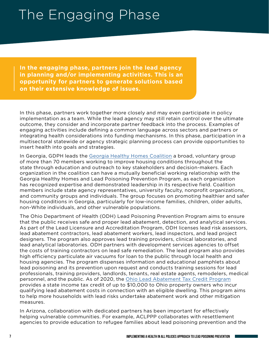### The Engaging Phase

**In the engaging phase, partners join the lead agency in planning and/or implementing activities. This is an opportunity for partners to generate solutions based on their extensive knowledge of issues.**

In this phase, partners work together more closely and may even participate in policy implementation as a team. While the lead agency may still retain control over the ultimate outcome, they consider and incorporate partner feedback into the process. Examples of engaging activities include defining a common language across sectors and partners or integrating health considerations into funding mechanisms. In this phase, participation in a multisectoral statewide or agency strategic planning process can provide opportunities to insert health into goals and strategies.

In Georgia, GDPH leads the [Georgia Healthy Homes Coalition](https://dph.georgia.gov/environmental-health/georgia-healthy-homes-coalition-ghhc) a broad, voluntary group of more than 70 members working to improve housing conditions throughout the state through education and outreach to key stakeholders and decision-makers. Each organization in the coalition can have a mutually beneficial working relationship with the Georgia Healthy Homes and Lead Poisoning Prevention Program, as each organization has recognized expertise and demonstrated leadership in its respective field. Coalition members include state agency representatives, university faculty, nonprofit organizations, and community groups and individuals. The group focuses on promoting healthier and safer housing conditions in Georgia, particularly for low-income families, children, older adults, non-White individuals, and other vulnerable populations.

The Ohio Department of Health (ODH) Lead Poisoning Prevention Program aims to ensure that the public receives safe and proper lead abatement, detection, and analytical services. As part of the Lead Licensure and Accreditation Program, ODH licenses lead risk assessors, lead abatement contractors, lead abatement workers, lead inspectors, and lead project designers. The program also approves lead training providers, clinical laboratories, and lead analytical laboratories. ODH partners with development services agencies to offset the costs of training contractors on lead safe remediation. The lead program also provides high efficiency particulate air vacuums for loan to the public through local health and housing agencies. The program dispenses information and educational pamphlets about lead poisoning and its prevention upon request and conducts training sessions for lead professionals, training providers, landlords, tenants, real estate agents, remodelers, medical personnel, and the public. As of 2020, the [Ohio Lead Abatement Tax Credit Program](https://odh.ohio.gov/wps/portal/gov/odh/know-our-programs/lead-abatement-tax-credit-program/lead-abatement-tax-credit-program) provides a state income tax credit of up to \$10,000 to Ohio property owners who incur qualifying lead abatement costs in connection with an eligible dwelling. This program aims to help more households with lead risks undertake abatement work and other mitigation measures.

In Arizona, collaboration with dedicated partners has been important for effectively helping vulnerable communities. For example, ACLPPP collaborates with resettlement agencies to provide education to refugee families about lead poisoning prevention and the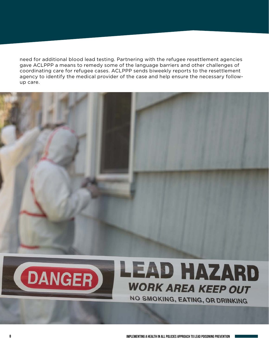need for additional blood lead testing. Partnering with the refugee resettlement agencies gave ACLPPP a means to remedy some of the language barriers and other challenges of coordinating care for refugee cases. ACLPPP sends biweekly reports to the resettlement agency to identify the medical provider of the case and help ensure the necessary followup care.





# **LEAD HAZARD WORK AREA KEEP OUT**

**NO SMOKING, EATING, OR DRINKING**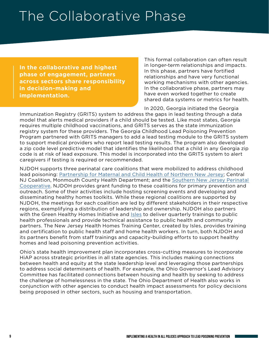#### The Collaborative Phase

**In the collaborative and highest phase of engagement, partners across sectors share responsibility in decision-making and implementation.**

This formal collaboration can often result in longer-term relationships and impacts. In this phase, partners have fortified relationships and have very functional working mechanisms with other agencies. In the collaborative phase, partners may have even worked together to create shared data systems or metrics for health.

In 2020, Georgia initiated the Georgia Immunization Registry (GRITS) system to address the gaps in lead testing through a data model that alerts medical providers if a child should be tested. Like most states, Georgia requires multiple childhood vaccinations, and GRITS serves as the state immunization registry system for these providers. The Georgia Childhood Lead Poisoning Prevention Program partnered with GRITS managers to add a lead testing module to the GRITS system to support medical providers who report lead testing results. The program also developed a zip code level predictive model that identifies the likelihood that a child in any Georgia zip code is at risk of lead exposure. This model is incorporated into the GRITS system to alert caregivers if testing is required or recommended.

NJDOH supports three perinatal care coalitions that were mobilized to address childhood lead poisoning: [Partnership for Maternal and Child Health of Northern New Jersey](https://partnershipmch.org); Central NJ Coalition, Monmouth County Health Department; and the [Southern New Jersey Perinatal](https://www.snjpc.org)  [Cooperative.](https://www.snjpc.org) NJDOH provides grant funding to these coalitions for primary prevention and outreach. Some of their activities include hosting screening events and developing and disseminating healthy homes toolkits. While these regional coalitions are supported by NJDOH, the meetings for each coalition are led by different stakeholders in their respective regions, exemplifying a distribution of leadership and ownership. NJDOH also partners with the Green Healthy Homes Initiative and **[Isles](https://isles.org) to deliver quarterly trainings to public** health professionals and provide technical assistance to public health and community partners. The New Jersey Health Homes Training Center, created by Isles, provides training and certification to public health staff and home health workers. In turn, both NJDOH and its partners benefit from staff trainings and capacity-building efforts to support healthy homes and lead poisoning prevention activities.

Ohio's state health improvement plan incorporates cross-cutting measures to incorporate HiAP across strategic priorities in all state agencies. This includes making connections between health and equity at the state leadership level and leveraging those partnerships to address social determinants of health. For example, the Ohio Governor's Lead Advisory Committee has facilitated connections between housing and health by seeking to address the challenge of homelessness in the state. The Ohio Department of Health also works in conjunction with other agencies to conduct health impact assessments for policy decisions being proposed in other sectors, such as housing and transportation.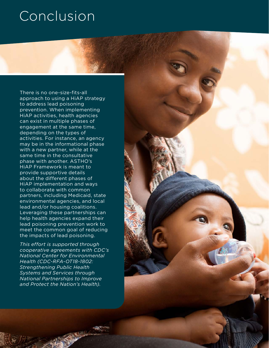### **Conclusion**

There is no one-size-fits-all approach to using a HiAP strategy to address lead poisoning prevention. When implementing HiAP activities, health agencies can exist in multiple phases of engagement at the same time, depending on the types of activities. For instance, an agency may be in the informational phase with a new partner, while at the same time in the consultative phase with another. ASTHO's HiAP Framework is meant to provide supportive details about the different phases of HiAP implementation and ways to collaborate with common partners, including Medicaid, state environmental agencies, and local lead and/or housing coalitions. Leveraging these partnerships can help health agencies expand their lead poisoning prevention work to meet the common goal of reducing the impacts of lead poisoning.

*This effort is supported through cooperative agreements with CDC's National Center for Environmental Health (CDC-RFA-OT18-1802: Strengthening Public Health Systems and Services through National Partnerships to Improve and Protect the Nation's Health).* 

**100 <b>IMPLEMENTING A HEALTH IN ALL POINT** IN ALL POINT IN ALL POINT IN ALL POINT IN A HEALTH IN A HEALTH IN A HEALTH IN A HEALTH IN A HEALTH IN A HEALTH IN A HEALTH IN A HEALTH IN A HEALTH IN A HEALTH IN A HEALTH IN A HEAL